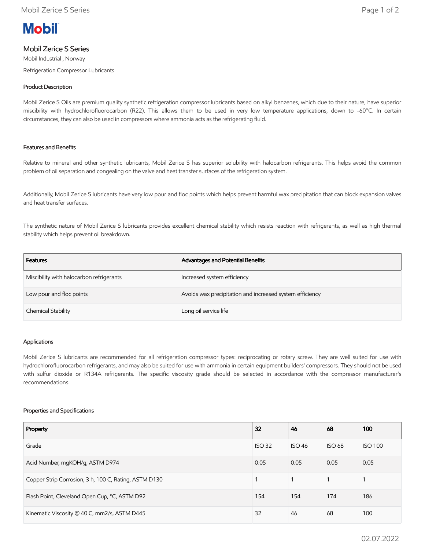

# Mobil Zerice S Series

Mobil Industrial , Norway Refrigeration Compressor Lubricants

## Product Description

Mobil Zerice S Oils are premium quality synthetic refrigeration compressor lubricants based on alkyl benzenes, which due to their nature, have superior miscibility with hydrochlorofluorocarbon (R22). This allows them to be used in very low temperature applications, down to -60°C. In certain circumstances, they can also be used in compressors where ammonia acts as the refrigerating fluid.

## Features and Benefits

Relative to mineral and other synthetic lubricants, Mobil Zerice S has superior solubility with halocarbon refrigerants. This helps avoid the common problem of oil separation and congealing on the valve and heat transfer surfaces of the refrigeration system.

Additionally, Mobil Zerice S lubricants have very low pour and floc points which helps prevent harmful wax precipitation that can block expansion valves and heat transfer surfaces.

The synthetic nature of Mobil Zerice S lubricants provides excellent chemical stability which resists reaction with refrigerants, as well as high thermal stability which helps prevent oil breakdown.

| Features                                 | Advantages and Potential Benefits                        |
|------------------------------------------|----------------------------------------------------------|
| Miscibility with halocarbon refrigerants | Increased system efficiency                              |
| Low pour and floc points                 | Avoids wax precipitation and increased system efficiency |
| Chemical Stability                       | Long oil service life                                    |

## Applications

Mobil Zerice S lubricants are recommended for all refrigeration compressor types: reciprocating or rotary screw. They are well suited for use with hydrochlorofluorocarbon refrigerants, and may also be suited for use with ammonia in certain equipment builders' compressors. They should not be used with sulfur dioxide or R134A refrigerants. The specific viscosity grade should be selected in accordance with the compressor manufacturer's recommendations.

#### Properties and Specifications

| Property                                              | 32            | 46            | 68            | 100            |
|-------------------------------------------------------|---------------|---------------|---------------|----------------|
| Grade                                                 | <b>ISO 32</b> | <b>ISO 46</b> | <b>ISO 68</b> | <b>ISO 100</b> |
| Acid Number, mgKOH/g, ASTM D974                       | 0.05          | 0.05          | 0.05          | 0.05           |
| Copper Strip Corrosion, 3 h, 100 C, Rating, ASTM D130 |               |               |               |                |
| Flash Point, Cleveland Open Cup, °C, ASTM D92         | 154           | 154           | 174           | 186            |
| Kinematic Viscosity @ 40 C, mm2/s, ASTM D445          | 32            | 46            | 68            | 100            |